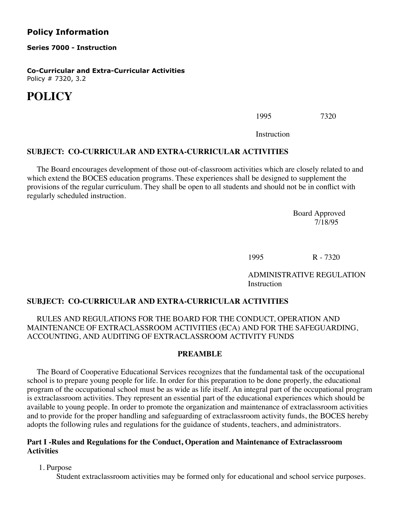# **Policy Information**

**Series 7000 - Instruction**

**Co-Curricular and Extra-Curricular Activities** Policy # 7320, 3.2

# **POLICY**

 $1995$   $7320$ 

Instruction

#### **SUBJECT: CO-CURRICULAR AND EXTRA-CURRICULAR ACTIVITIES**

 The Board encourages development of those out-of-classroom activities which are closely related to and which extend the BOCES education programs. These experiences shall be designed to supplement the provisions of the regular curriculum. They shall be open to all students and should not be in conflict with regularly scheduled instruction.

 Board Approved 7/18/95

 $1995$  R - 7320

 ADMINISTRATIVE REGULATION Instruction

#### **SUBJECT: CO-CURRICULAR AND EXTRA-CURRICULAR ACTIVITIES**

## RULES AND REGULATIONS FOR THE BOARD FOR THE CONDUCT, OPERATION AND MAINTENANCE OF EXTRACLASSROOM ACTIVITIES (ECA) AND FOR THE SAFEGUARDING, ACCOUNTING, AND AUDITING OF EXTRACLASSROOM ACTIVITY FUNDS

#### **PREAMBLE**

 The Board of Cooperative Educational Services recognizes that the fundamental task of the occupational school is to prepare young people for life. In order for this preparation to be done properly, the educational program of the occupational school must be as wide as life itself. An integral part of the occupational program is extraclassroom activities. They represent an essential part of the educational experiences which should be available to young people. In order to promote the organization and maintenance of extraclassroom activities and to provide for the proper handling and safeguarding of extraclassroom activity funds, the BOCES hereby adopts the following rules and regulations for the guidance of students, teachers, and administrators.

#### **Part I -Rules and Regulations for the Conduct, Operation and Maintenance of Extraclassroom Activities**

1. Purpose

Student extraclassroom activities may be formed only for educational and school service purposes.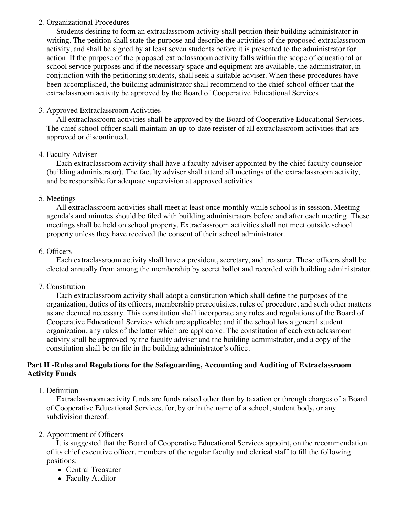## 2. Organizational Procedures

 Students desiring to form an extraclassroom activity shall petition their building administrator in writing. The petition shall state the purpose and describe the activities of the proposed extraclassroom activity, and shall be signed by at least seven students before it is presented to the administrator for action. If the purpose of the proposed extraclassroom activity falls within the scope of educational or school service purposes and if the necessary space and equipment are available, the administrator, in conjunction with the petitioning students, shall seek a suitable adviser. When these procedures have been accomplished, the building administrator shall recommend to the chief school officer that the extraclassroom activity be approved by the Board of Cooperative Educational Services.

## 3. Approved Extraclassroom Activities

 All extraclassroom activities shall be approved by the Board of Cooperative Educational Services. The chief school officer shall maintain an up-to-date register of all extraclassroom activities that are approved or discontinued.

#### 4. Faculty Adviser

 Each extraclassroom activity shall have a faculty adviser appointed by the chief faculty counselor (building administrator). The faculty adviser shall attend all meetings of the extraclassroom activity, and be responsible for adequate supervision at approved activities.

#### 5. Meetings

 All extraclassroom activities shall meet at least once monthly while school is in session. Meeting agenda's and minutes should be filed with building administrators before and after each meeting. These meetings shall be held on school property. Extraclassroom activities shall not meet outside school property unless they have received the consent of their school administrator.

#### 6. Officers

 Each extraclassroom activity shall have a president, secretary, and treasurer. These officers shall be elected annually from among the membership by secret ballot and recorded with building administrator.

## 7. Constitution

 Each extraclassroom activity shall adopt a constitution which shall define the purposes of the organization, duties of its officers, membership prerequisites, rules of procedure, and such other matters as are deemed necessary. This constitution shall incorporate any rules and regulations of the Board of Cooperative Educational Services which are applicable; and if the school has a general student organization, any rules of the latter which are applicable. The constitution of each extraclassroom activity shall be approved by the faculty adviser and the building administrator, and a copy of the constitution shall be on file in the building administrator's office.

## **Part II -Rules and Regulations for the Safeguarding, Accounting and Auditing of Extraclassroom Activity Funds**

# 1. Definition

 Extraclassroom activity funds are funds raised other than by taxation or through charges of a Board of Cooperative Educational Services, for, by or in the name of a school, student body, or any subdivision thereof.

# 2. Appointment of Officers

 It is suggested that the Board of Cooperative Educational Services appoint, on the recommendation of its chief executive officer, members of the regular faculty and clerical staff to fill the following positions:

- Central Treasurer
- Faculty Auditor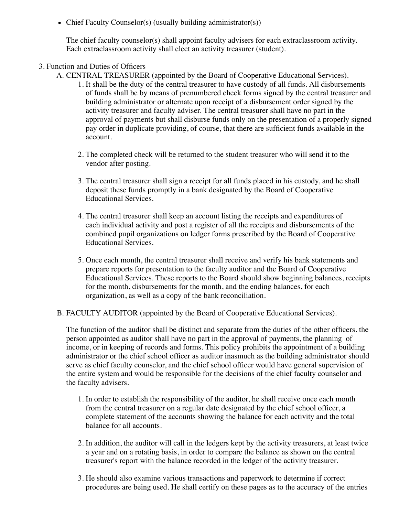• Chief Faculty Counselor(s) (usually building administrator(s))

The chief faculty counselor(s) shall appoint faculty advisers for each extraclassroom activity. Each extraclassroom activity shall elect an activity treasurer (student).

- 3. Function and Duties of Officers
	- A. CENTRAL TREASURER (appointed by the Board of Cooperative Educational Services).
		- 1. It shall be the duty of the central treasurer to have custody of all funds. All disbursements of funds shall be by means of prenumbered check forms signed by the central treasurer and building administrator or alternate upon receipt of a disbursement order signed by the activity treasurer and faculty adviser. The central treasurer shall have no part in the approval of payments but shall disburse funds only on the presentation of a properly signed pay order in duplicate providing, of course, that there are sufficient funds available in the account.
		- 2. The completed check will be returned to the student treasurer who will send it to the vendor after posting.
		- 3. The central treasurer shall sign a receipt for all funds placed in his custody, and he shall deposit these funds promptly in a bank designated by the Board of Cooperative Educational Services.
		- 4. The central treasurer shall keep an account listing the receipts and expenditures of each individual activity and post a register of all the receipts and disbursements of the combined pupil organizations on ledger forms prescribed by the Board of Cooperative Educational Services.
		- 5. Once each month, the central treasurer shall receive and verify his bank statements and prepare reports for presentation to the faculty auditor and the Board of Cooperative Educational Services. These reports to the Board should show beginning balances, receipts for the month, disbursements for the month, and the ending balances, for each organization, as well as a copy of the bank reconciliation.
	- B. FACULTY AUDITOR (appointed by the Board of Cooperative Educational Services).

The function of the auditor shall be distinct and separate from the duties of the other officers. the person appointed as auditor shall have no part in the approval of payments, the planning of income, or in keeping of records and forms. This policy prohibits the appointment of a building administrator or the chief school officer as auditor inasmuch as the building administrator should serve as chief faculty counselor, and the chief school officer would have general supervision of the entire system and would be responsible for the decisions of the chief faculty counselor and the faculty advisers.

- 1. In order to establish the responsibility of the auditor, he shall receive once each month from the central treasurer on a regular date designated by the chief school officer, a complete statement of the accounts showing the balance for each activity and the total balance for all accounts.
- 2. In addition, the auditor will call in the ledgers kept by the activity treasurers, at least twice a year and on a rotating basis, in order to compare the balance as shown on the central treasurer's report with the balance recorded in the ledger of the activity treasurer.
- 3. He should also examine various transactions and paperwork to determine if correct procedures are being used. He shall certify on these pages as to the accuracy of the entries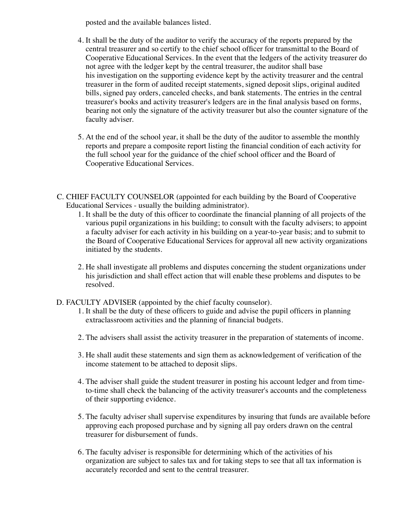posted and the available balances listed.

- 4. It shall be the duty of the auditor to verify the accuracy of the reports prepared by the central treasurer and so certify to the chief school officer for transmittal to the Board of Cooperative Educational Services. In the event that the ledgers of the activity treasurer do not agree with the ledger kept by the central treasurer, the auditor shall base his investigation on the supporting evidence kept by the activity treasurer and the central treasurer in the form of audited receipt statements, signed deposit slips, original audited bills, signed pay orders, canceled checks, and bank statements. The entries in the central treasurer's books and activity treasurer's ledgers are in the final analysis based on forms, bearing not only the signature of the activity treasurer but also the counter signature of the faculty adviser.
- 5. At the end of the school year, it shall be the duty of the auditor to assemble the monthly reports and prepare a composite report listing the financial condition of each activity for the full school year for the guidance of the chief school officer and the Board of Cooperative Educational Services.
- C. CHIEF FACULTY COUNSELOR (appointed for each building by the Board of Cooperative Educational Services - usually the building administrator).
	- 1. It shall be the duty of this officer to coordinate the financial planning of all projects of the various pupil organizations in his building; to consult with the faculty advisers; to appoint a faculty adviser for each activity in his building on a year-to-year basis; and to submit to the Board of Cooperative Educational Services for approval all new activity organizations initiated by the students.
	- 2. He shall investigate all problems and disputes concerning the student organizations under his jurisdiction and shall effect action that will enable these problems and disputes to be resolved.
- D. FACULTY ADVISER (appointed by the chief faculty counselor).
	- 1. It shall be the duty of these officers to guide and advise the pupil officers in planning extraclassroom activities and the planning of financial budgets.
	- 2. The advisers shall assist the activity treasurer in the preparation of statements of income.
	- 3. He shall audit these statements and sign them as acknowledgement of verification of the income statement to be attached to deposit slips.
	- 4. The adviser shall guide the student treasurer in posting his account ledger and from timeto-time shall check the balancing of the activity treasurer's accounts and the completeness of their supporting evidence.
	- 5. The faculty adviser shall supervise expenditures by insuring that funds are available before approving each proposed purchase and by signing all pay orders drawn on the central treasurer for disbursement of funds.
	- 6. The faculty adviser is responsible for determining which of the activities of his organization are subject to sales tax and for taking steps to see that all tax information is accurately recorded and sent to the central treasurer.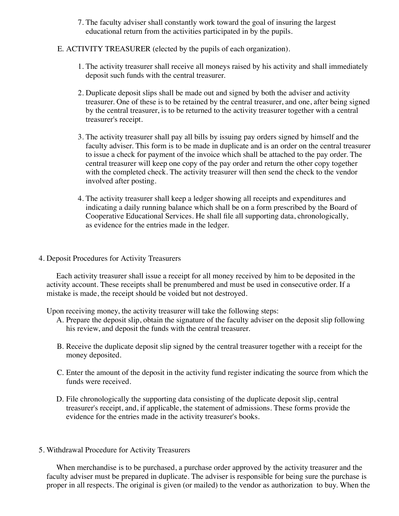- 7. The faculty adviser shall constantly work toward the goal of insuring the largest educational return from the activities participated in by the pupils.
- E. ACTIVITY TREASURER (elected by the pupils of each organization).
	- 1. The activity treasurer shall receive all moneys raised by his activity and shall immediately deposit such funds with the central treasurer.
	- 2. Duplicate deposit slips shall be made out and signed by both the adviser and activity treasurer. One of these is to be retained by the central treasurer, and one, after being signed by the central treasurer, is to be returned to the activity treasurer together with a central treasurer's receipt.
	- 3. The activity treasurer shall pay all bills by issuing pay orders signed by himself and the faculty adviser. This form is to be made in duplicate and is an order on the central treasurer to issue a check for payment of the invoice which shall be attached to the pay order. The central treasurer will keep one copy of the pay order and return the other copy together with the completed check. The activity treasurer will then send the check to the vendor involved after posting.
	- 4. The activity treasurer shall keep a ledger showing all receipts and expenditures and indicating a daily running balance which shall be on a form prescribed by the Board of Cooperative Educational Services. He shall file all supporting data, chronologically, as evidence for the entries made in the ledger.
- 4. Deposit Procedures for Activity Treasurers

 Each activity treasurer shall issue a receipt for all money received by him to be deposited in the activity account. These receipts shall be prenumbered and must be used in consecutive order. If a mistake is made, the receipt should be voided but not destroyed.

Upon receiving money, the activity treasurer will take the following steps:

- A. Prepare the deposit slip, obtain the signature of the faculty adviser on the deposit slip following his review, and deposit the funds with the central treasurer.
- B. Receive the duplicate deposit slip signed by the central treasurer together with a receipt for the money deposited.
- C. Enter the amount of the deposit in the activity fund register indicating the source from which the funds were received.
- D. File chronologically the supporting data consisting of the duplicate deposit slip, central treasurer's receipt, and, if applicable, the statement of admissions. These forms provide the evidence for the entries made in the activity treasurer's books.
- 5. Withdrawal Procedure for Activity Treasurers

 When merchandise is to be purchased, a purchase order approved by the activity treasurer and the faculty adviser must be prepared in duplicate. The adviser is responsible for being sure the purchase is proper in all respects. The original is given (or mailed) to the vendor as authorization to buy. When the